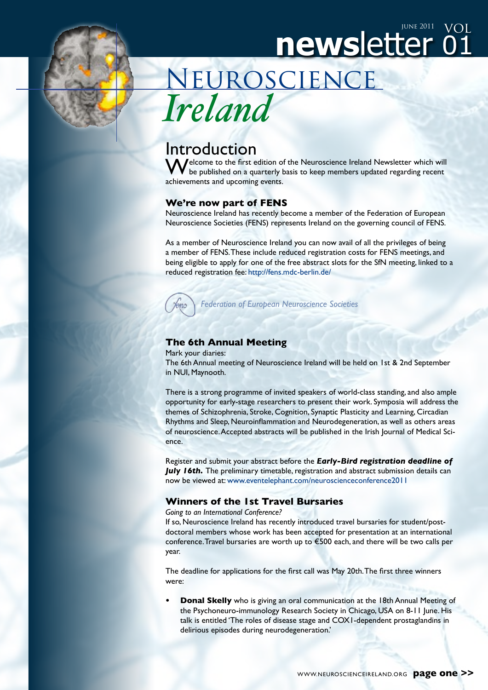

newsletter Neuroscience *Ireland*

# Introduction

Melcome to the first edition of the Neuroscience Ireland Newsletter which will be published on a quarterly basis to keep members updated regarding recent achievements and upcoming events.

01

vol

#### **We're now part of FENS**

Neuroscience Ireland has recently become a member of the Federation of European Neuroscience Societies (FENS) represents Ireland on the governing council of FENS.

As a member of Neuroscience Ireland you can now avail of all the privileges of being a member of FENS. These include reduced registration costs for FENS meetings, and being eligible to apply for one of the free abstract slots for the SfN meeting, linked to a reduced registration fee: <http://fens.mdc-berlin.de/>

*Federation of European Neuroscience Societies*

# **The 6th Annual Meeting**

Mark your diaries:

The 6th Annual meeting of Neuroscience Ireland will be held on 1st & 2nd September in NUI, Maynooth.

There is a strong programme of invited speakers of world-class standing, and also ample opportunity for early-stage researchers to present their work. Symposia will address the themes of Schizophrenia, Stroke, Cognition, Synaptic Plasticity and Learning, Circadian Rhythms and Sleep, Neuroinflammation and Neurodegeneration, as well as others areas of neuroscience. Accepted abstracts will be published in the Irish Journal of Medical Science.

Register and submit your abstract before the *Early-Bird registration deadline of July 16th.* The preliminary timetable, registration and abstract submission details can now be viewed at: www.eventelephant.com/neuroscienceconference2011

## **Winners of the 1st Travel Bursaries**

*Going to an International Conference?* 

If so, Neuroscience Ireland has recently introduced travel bursaries for student/postdoctoral members whose work has been accepted for presentation at an international conference. Travel bursaries are worth up to €500 each, and there will be two calls per year.

The deadline for applications for the first call was May 20th. The first three winners were:

**Donal Skelly** who is giving an oral communication at the 18th Annual Meeting of the Psychoneuro-immunology Research Society in Chicago, USA on 8-11 June. His talk is entitled 'The roles of disease stage and COX1-dependent prostaglandins in delirious episodes during neurodegeneration.'